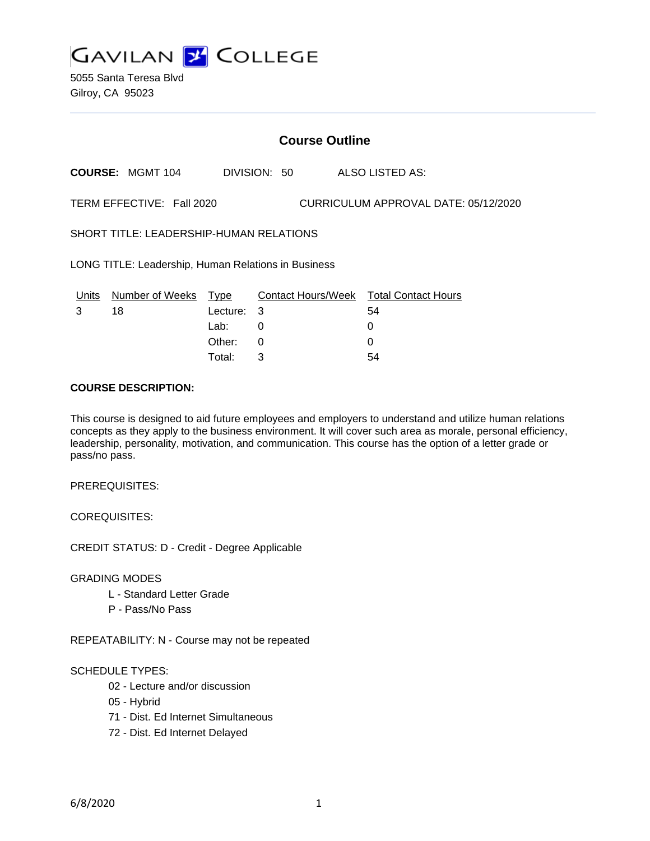

5055 Santa Teresa Blvd Gilroy, CA 95023

# **Course Outline**

**COURSE:** MGMT 104 DIVISION: 50 ALSO LISTED AS:

TERM EFFECTIVE: Fall 2020 CURRICULUM APPROVAL DATE: 05/12/2020

SHORT TITLE: LEADERSHIP-HUMAN RELATIONS

LONG TITLE: Leadership, Human Relations in Business

| Units | Number of Weeks Type |            | Contact Hours/Week Total Contact Hours |    |
|-------|----------------------|------------|----------------------------------------|----|
|       | 18                   | Lecture: 3 |                                        | 54 |
|       |                      | Lab:       |                                        |    |
|       |                      | Other: 0   |                                        |    |
|       |                      | Total:     |                                        | 54 |

## **COURSE DESCRIPTION:**

This course is designed to aid future employees and employers to understand and utilize human relations concepts as they apply to the business environment. It will cover such area as morale, personal efficiency, leadership, personality, motivation, and communication. This course has the option of a letter grade or pass/no pass.

PREREQUISITES:

COREQUISITES:

CREDIT STATUS: D - Credit - Degree Applicable

GRADING MODES

- L Standard Letter Grade
- P Pass/No Pass

REPEATABILITY: N - Course may not be repeated

#### SCHEDULE TYPES:

- 02 Lecture and/or discussion
- 05 Hybrid
- 71 Dist. Ed Internet Simultaneous
- 72 Dist. Ed Internet Delayed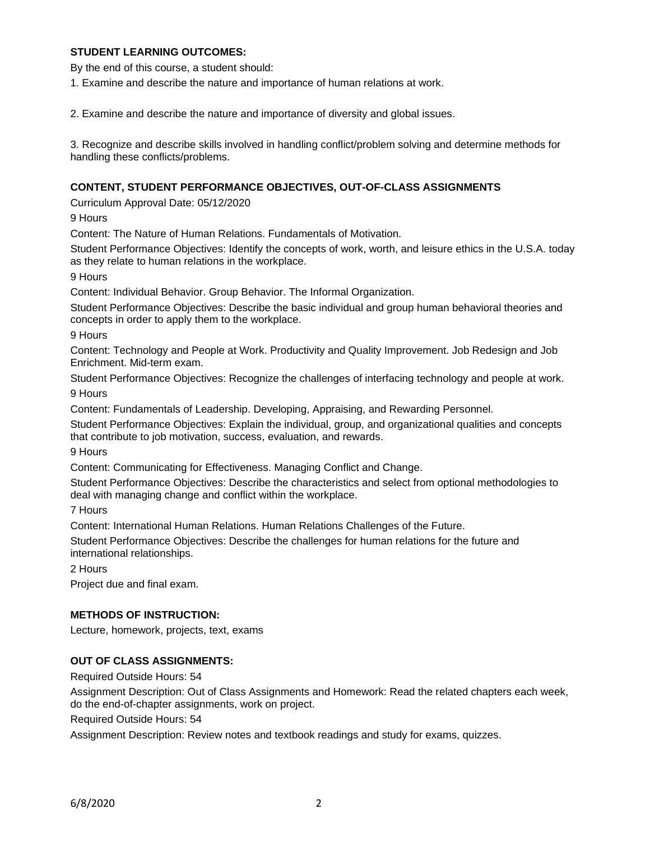# **STUDENT LEARNING OUTCOMES:**

By the end of this course, a student should:

1. Examine and describe the nature and importance of human relations at work.

2. Examine and describe the nature and importance of diversity and global issues.

3. Recognize and describe skills involved in handling conflict/problem solving and determine methods for handling these conflicts/problems.

### **CONTENT, STUDENT PERFORMANCE OBJECTIVES, OUT-OF-CLASS ASSIGNMENTS**

Curriculum Approval Date: 05/12/2020

9 Hours

Content: The Nature of Human Relations. Fundamentals of Motivation.

Student Performance Objectives: Identify the concepts of work, worth, and leisure ethics in the U.S.A. today as they relate to human relations in the workplace.

9 Hours

Content: Individual Behavior. Group Behavior. The Informal Organization.

Student Performance Objectives: Describe the basic individual and group human behavioral theories and concepts in order to apply them to the workplace.

9 Hours

Content: Technology and People at Work. Productivity and Quality Improvement. Job Redesign and Job Enrichment. Mid-term exam.

Student Performance Objectives: Recognize the challenges of interfacing technology and people at work.

9 Hours

Content: Fundamentals of Leadership. Developing, Appraising, and Rewarding Personnel.

Student Performance Objectives: Explain the individual, group, and organizational qualities and concepts that contribute to job motivation, success, evaluation, and rewards.

9 Hours

Content: Communicating for Effectiveness. Managing Conflict and Change.

Student Performance Objectives: Describe the characteristics and select from optional methodologies to deal with managing change and conflict within the workplace.

7 Hours

Content: International Human Relations. Human Relations Challenges of the Future.

Student Performance Objectives: Describe the challenges for human relations for the future and international relationships.

2 Hours

Project due and final exam.

#### **METHODS OF INSTRUCTION:**

Lecture, homework, projects, text, exams

### **OUT OF CLASS ASSIGNMENTS:**

Required Outside Hours: 54

Assignment Description: Out of Class Assignments and Homework: Read the related chapters each week, do the end-of-chapter assignments, work on project.

Required Outside Hours: 54

Assignment Description: Review notes and textbook readings and study for exams, quizzes.